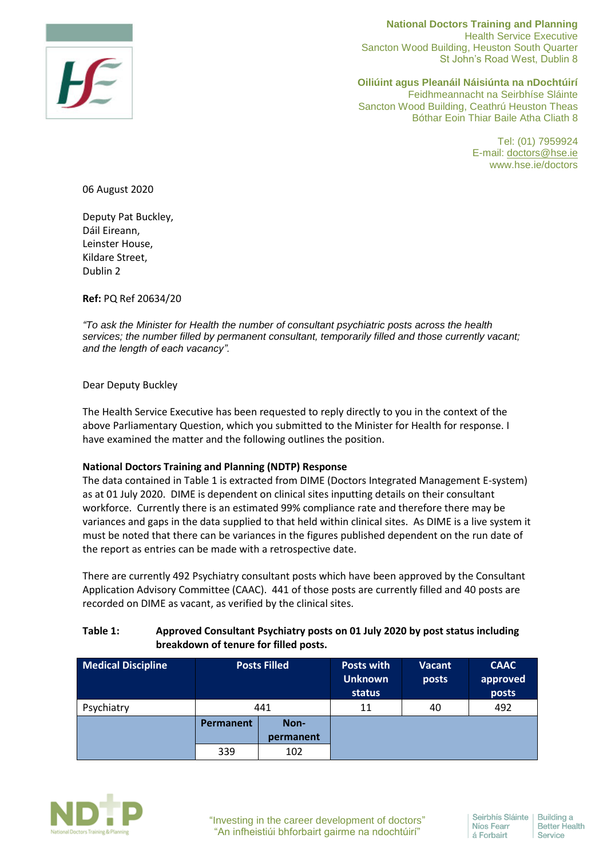

**National Doctors Training and Planning**  Health Service Executive Sancton Wood Building, Heuston South Quarter St John's Road West, Dublin 8

**Oiliúint agus Pleanáil Náisiúnta na nDochtúirí** Feidhmeannacht na Seirbhíse Sláinte Sancton Wood Building, Ceathrú Heuston Theas Bóthar Eoin Thiar Baile Atha Cliath 8

> Tel: (01) 7959924 E-mail: [doctors@hse.ie](mailto:doctors@hse.ie) www.hse.ie/doctors

06 August 2020

Deputy Pat Buckley, Dáil Eireann, Leinster House, Kildare Street, Dublin 2

**Ref:** PQ Ref 20634/20

*"To ask the Minister for Health the number of consultant psychiatric posts across the health services; the number filled by permanent consultant, temporarily filled and those currently vacant; and the length of each vacancy".*

Dear Deputy Buckley

The Health Service Executive has been requested to reply directly to you in the context of the above Parliamentary Question, which you submitted to the Minister for Health for response. I have examined the matter and the following outlines the position.

## **National Doctors Training and Planning (NDTP) Response**

The data contained in Table 1 is extracted from DIME (Doctors Integrated Management E-system) as at 01 July 2020. DIME is dependent on clinical sites inputting details on their consultant workforce. Currently there is an estimated 99% compliance rate and therefore there may be variances and gaps in the data supplied to that held within clinical sites. As DIME is a live system it must be noted that there can be variances in the figures published dependent on the run date of the report as entries can be made with a retrospective date.

There are currently 492 Psychiatry consultant posts which have been approved by the Consultant Application Advisory Committee (CAAC). 441 of those posts are currently filled and 40 posts are recorded on DIME as vacant, as verified by the clinical sites.

## **Table 1: Approved Consultant Psychiatry posts on 01 July 2020 by post status including breakdown of tenure for filled posts.**

| <b>Medical Discipline</b> | <b>Posts Filled</b> |           | <b>Posts with</b><br><b>Unknown</b><br>status | <b>Vacant</b><br>posts | <b>CAAC</b><br>approved<br>posts |
|---------------------------|---------------------|-----------|-----------------------------------------------|------------------------|----------------------------------|
| Psychiatry                | 441                 |           | 11                                            | 40                     | 492                              |
|                           | Permanent           | Non-      |                                               |                        |                                  |
|                           |                     | permanent |                                               |                        |                                  |
|                           | 339                 | 102       |                                               |                        |                                  |